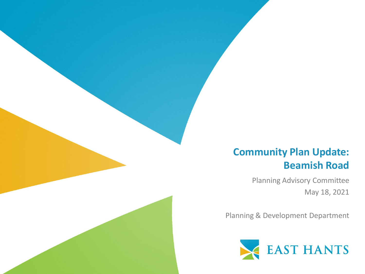#### **Community Plan Update: Beamish Road**

Planning Advisory Committee May 18, 2021

Planning & Development Department

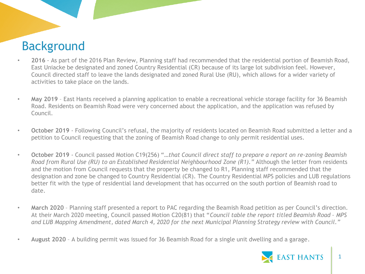# Background

- **2016** As part of the 2016 Plan Review, Planning staff had recommended that the residential portion of Beamish Road, East Uniacke be designated and zoned Country Residential (CR) because of its large lot subdivision feel. However, Council directed staff to leave the lands designated and zoned Rural Use (RU), which allows for a wider variety of activities to take place on the lands.
- **May 2019** East Hants received a planning application to enable a recreational vehicle storage facility for 36 Beamish Road. Residents on Beamish Road were very concerned about the application, and the application was refused by Council.
- **October 2019** Following Council's refusal, the majority of residents located on Beamish Road submitted a letter and a petition to Council requesting that the zoning of Beamish Road change to only permit residential uses.
- **October 2019** Council passed Motion C19(256) "*…that Council direct staff to prepare a report on re-zoning Beamish Road from Rural Use (RU) to an Established Residential Neighbourhood Zone (R1)."* Although the letter from residents and the motion from Council requests that the property be changed to R1, Planning staff recommended that the designation and zone be changed to Country Residential (CR). The Country Residential MPS policies and LUB regulations better fit with the type of residential land development that has occurred on the south portion of Beamish road to date.
- **March 2020** Planning staff presented a report to PAC regarding the Beamish Road petition as per Council's direction. At their March 2020 meeting, Council passed Motion C20(81) that "*Council table the report titled Beamish Road – MPS and LUB Mapping Amendment, dated March 4, 2020 for the next Municipal Planning Strategy review with Council."*
- **August 2020** A building permit was issued for 36 Beamish Road for a single unit dwelling and a garage.

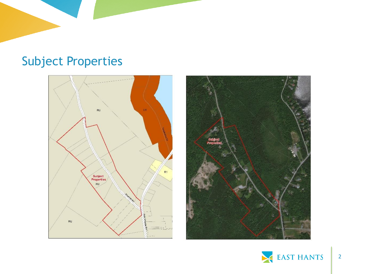# Subject Properties





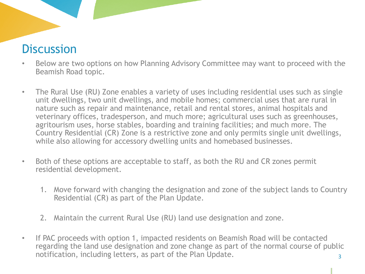### **Discussion**

- Below are two options on how Planning Advisory Committee may want to proceed with the Beamish Road topic.
- The Rural Use (RU) Zone enables a variety of uses including residential uses such as single unit dwellings, two unit dwellings, and mobile homes; commercial uses that are rural in nature such as repair and maintenance, retail and rental stores, animal hospitals and veterinary offices, tradesperson, and much more; agricultural uses such as greenhouses, agritourism uses, horse stables, boarding and training facilities; and much more. The Country Residential (CR) Zone is a restrictive zone and only permits single unit dwellings, while also allowing for accessory dwelling units and homebased businesses.
- Both of these options are acceptable to staff, as both the RU and CR zones permit residential development.
	- 1. Move forward with changing the designation and zone of the subject lands to Country Residential (CR) as part of the Plan Update.
	- 2. Maintain the current Rural Use (RU) land use designation and zone.
- If PAC proceeds with option 1, impacted residents on Beamish Road will be contacted regarding the land use designation and zone change as part of the normal course of public notification, including letters, as part of the Plan Update.